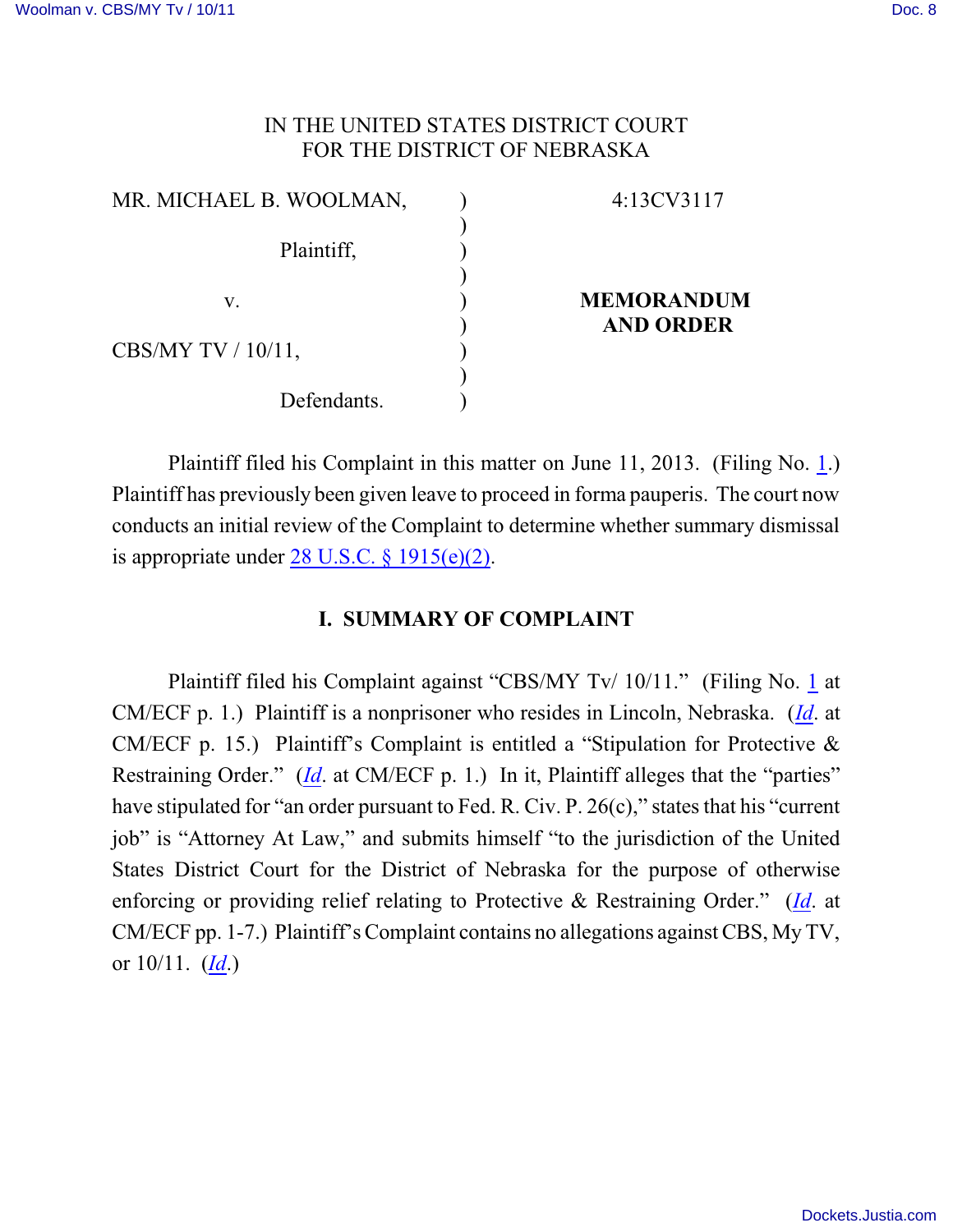# IN THE UNITED STATES DISTRICT COURT FOR THE DISTRICT OF NEBRASKA

| MR. MICHAEL B. WOOLMAN, | 4:13CV3117                            |
|-------------------------|---------------------------------------|
| Plaintiff,              |                                       |
| V.                      | <b>MEMORANDUM</b><br><b>AND ORDER</b> |
| CBS/MY TV $/ 10/11$ ,   |                                       |
| Defendants.             |                                       |

Plaintiff filed his Complaint in this matter on June 11, 2013. (Filing No. [1](http://ecf.ned.uscourts.gov/doc1/11302803766).) Plaintiff has previously been given leave to proceed in forma pauperis. The court now conducts an initial review of the Complaint to determine whether summary dismissal is appropriate under [28 U.S.C. § 1915\(e\)\(2\)](http://web2.westlaw.com/find/default.wl?rs=CLWP3.0&vr=2.0&cite=28+USCA+ss+1915%28e%29&ssl=n).

# **I. SUMMARY OF COMPLAINT**

Plaintiff filed his Complaint against "CBS/MY Tv/ 10/11." (Filing No. [1](http://ecf.ned.uscourts.gov/doc1/11302803766) at CM/ECF p. 1.) Plaintiff is a nonprisoner who resides in Lincoln, Nebraska. (*[Id](https://ecf.ned.uscourts.gov/doc1/11312803766)*. at CM/ECF p. 15.) Plaintiff's Complaint is entitled a "Stipulation for Protective  $\&$ Restraining Order." (*[Id](https://ecf.ned.uscourts.gov/doc1/11312803766).* at CM/ECF p. 1.) In it, Plaintiff alleges that the "parties" have stipulated for "an order pursuant to Fed. R. Civ. P. 26(c)," states that his "current job" is "Attorney At Law," and submits himself "to the jurisdiction of the United States District Court for the District of Nebraska for the purpose of otherwise enforcing or providing relief relating to Protective & Restraining Order." (*[Id](https://ecf.ned.uscourts.gov/doc1/11312803766)*. at CM/ECF pp. 1-7.) Plaintiff's Complaint contains no allegations against CBS, My TV, or 10/11. (*[Id](https://ecf.ned.uscourts.gov/doc1/11312803766)*.)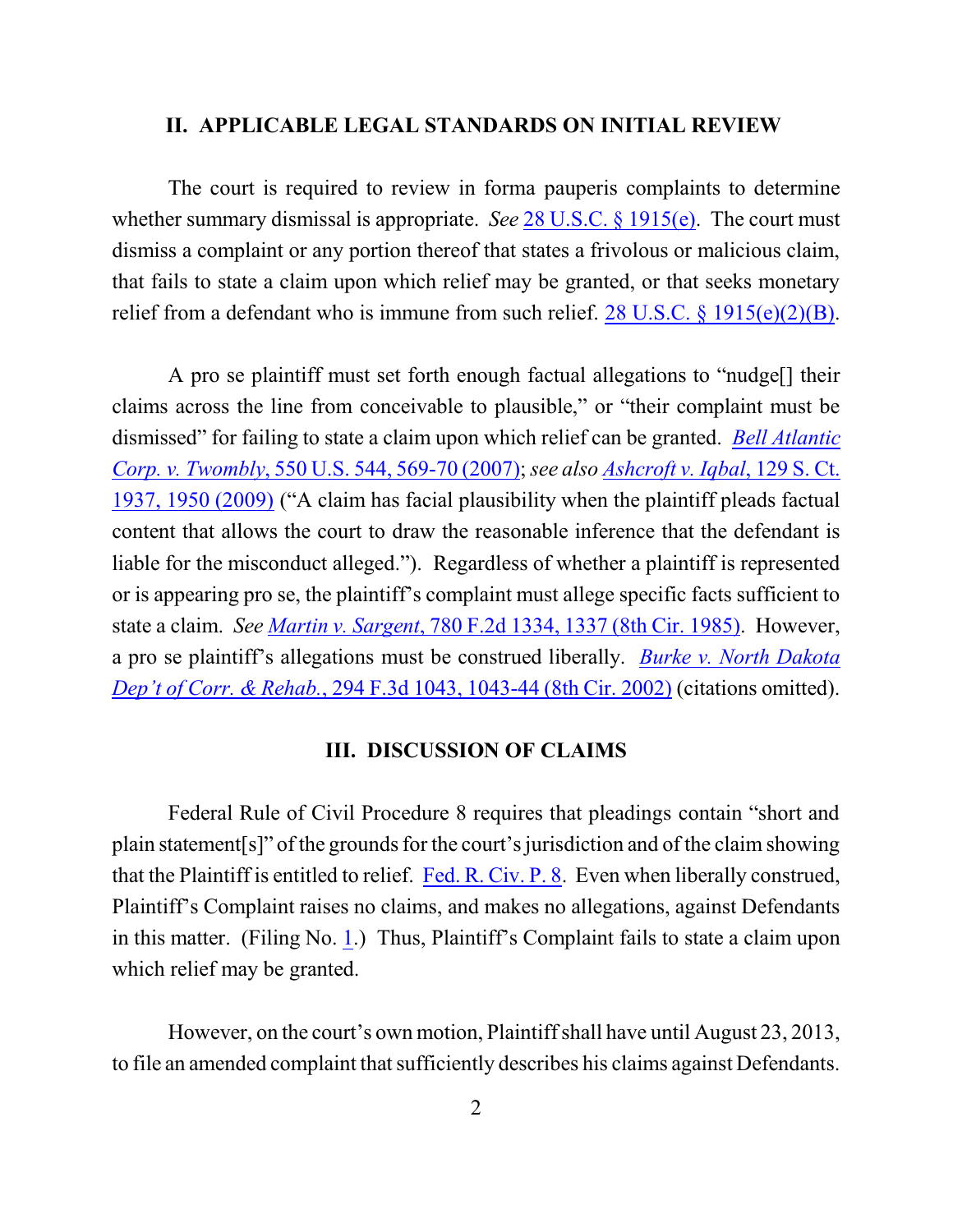#### **II. APPLICABLE LEGAL STANDARDS ON INITIAL REVIEW**

The court is required to review in forma pauperis complaints to determine whether summary dismissal is appropriate. *See* [28 U.S.C. § 1915\(e\)](http://www.westlaw.com/find/default.wl?rs=CLWP3.0&vr=2.0&cite=28+USCA+ss+1915%28e%29). The court must dismiss a complaint or any portion thereof that states a frivolous or malicious claim, that fails to state a claim upon which relief may be granted, or that seeks monetary relief from a defendant who is immune from such relief.  $28 \text{ U.S.C.} \S 1915(e)(2)(B)$ .

A pro se plaintiff must set forth enough factual allegations to "nudge[] their claims across the line from conceivable to plausible," or "their complaint must be dismissed" for failing to state a claim upon which relief can be granted. *[Bell Atlantic](http://web2.westlaw.com/find/default.wl?fn=_top&rs=WLW9.08&rp=%2ffind%2fdefault.wl&ifm=NotSet&vr=2.0&sv=Split&cite=550+us+569) Corp. v. Twombly*, [550 U.S. 544, 569-70 \(2007\)](http://web2.westlaw.com/find/default.wl?fn=_top&rs=WLW9.08&rp=%2ffind%2fdefault.wl&ifm=NotSet&vr=2.0&sv=Split&cite=550+us+569); *see also [Ashcroft v. Iqbal](http://web2.westlaw.com/find/default.wl?rs=WLW9.10&ifm=NotSet&fn=_top&sv=Split&cite=129+s+ct+1950&vr=2.0&rp=%2ffind%2fdefault.wl&pbc=074303F9)*, 129 S. Ct. [1937, 1950 \(2009\)](http://web2.westlaw.com/find/default.wl?rs=WLW9.10&ifm=NotSet&fn=_top&sv=Split&cite=129+s+ct+1950&vr=2.0&rp=%2ffind%2fdefault.wl&pbc=074303F9) ("A claim has facial plausibility when the plaintiff pleads factual content that allows the court to draw the reasonable inference that the defendant is liable for the misconduct alleged."). Regardless of whether a plaintiff is represented or is appearing pro se, the plaintiff's complaint must allege specific facts sufficient to state a claim. *See Martin v. Sargent*[, 780 F.2d 1334, 1337 \(8th Cir. 1985\)](http://www.westlaw.com/find/default.wl?rs=CLWP3.0&vr=2.0&cite=780+F.2d+1334). However, a pro se plaintiff's allegations must be construed liberally. *Burke [v. North Dakota](http://www.westlaw.com/find/default.wl?rs=CLWP3.0&vr=2.0&cite=294+F.3d+1043) Dep't of Corr. & Rehab.*[, 294 F.3d 1043, 1043-44 \(8th Cir. 2002\)](http://www.westlaw.com/find/default.wl?rs=CLWP3.0&vr=2.0&cite=294+F.3d+1043) (citations omitted).

#### **III. DISCUSSION OF CLAIMS**

Federal Rule of Civil Procedure 8 requires that pleadings contain "short and plain statement[s]" of the grounds for the court's jurisdiction and of the claim showing that the Plaintiff is entitled to relief. Fed. R. [Civ. P. 8](http://web2.westlaw.com/find/default.wl?cite=Fed.+R.+Civ.+P.+8&rs=WLW13.01&vr=2.0&rp=%2ffind%2fdefault.wl&sv=Split&fn=_top&mt=Westlaw). Even when liberally construed, Plaintiff's Complaint raises no claims, and makes no allegations, against Defendants in this matter. (Filing No. [1](http://ecf.ned.uscourts.gov/doc1/11302803841).) Thus, Plaintiff's Complaint fails to state a claim upon which relief may be granted.

However, on the court's own motion, Plaintiff shall have until August 23, 2013, to file an amended complaint that sufficiently describes his claims against Defendants.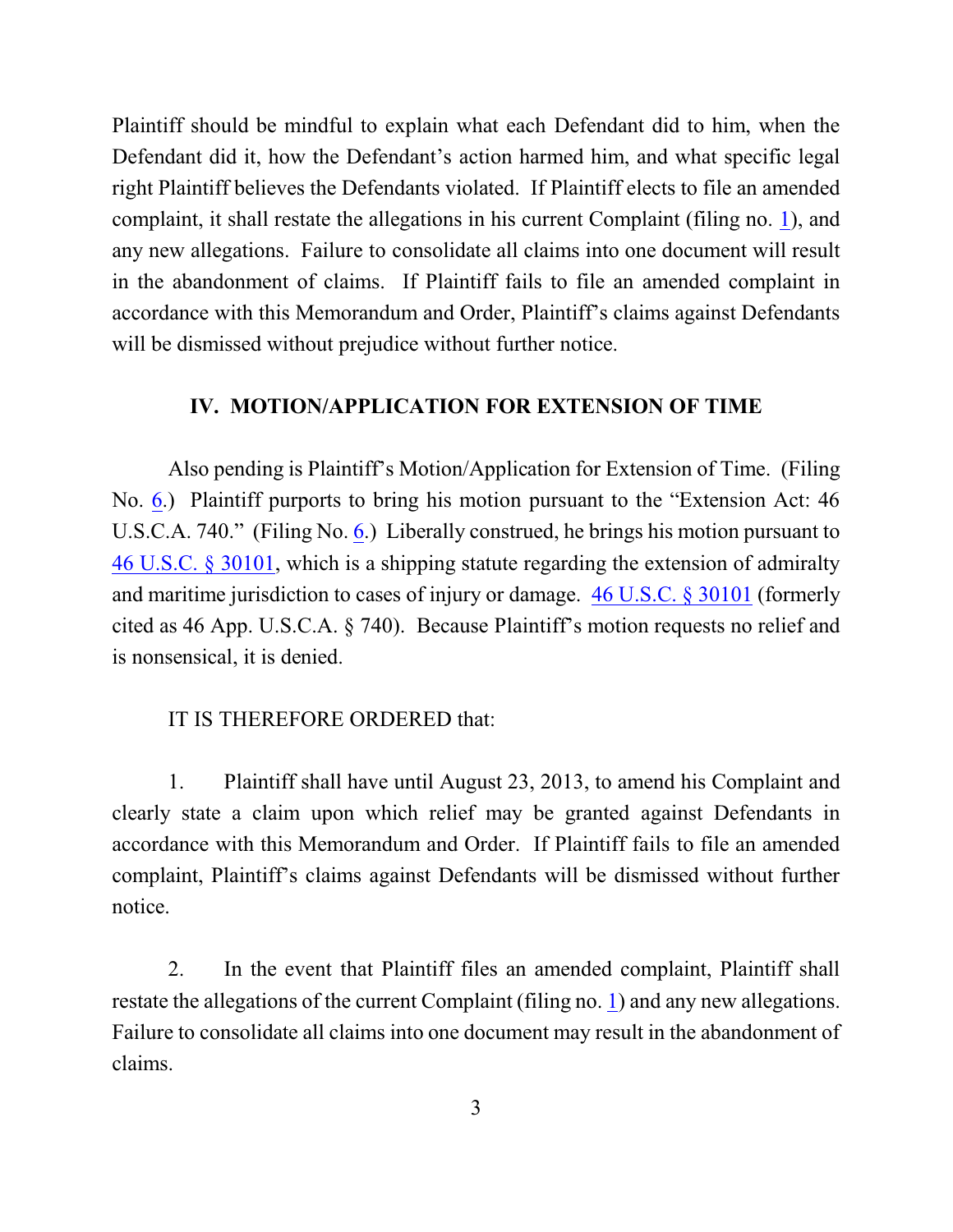Plaintiff should be mindful to explain what each Defendant did to him, when the Defendant did it, how the Defendant's action harmed him, and what specific legal right Plaintiff believes the Defendants violated. If Plaintiff elects to file an amended complaint, it shall restate the allegations in his current Complaint (filing no. [1](http://ecf.ned.uscourts.gov/doc1/11302803841)), and any new allegations. Failure to consolidate all claims into one document will result in the abandonment of claims. If Plaintiff fails to file an amended complaint in accordance with this Memorandum and Order, Plaintiff's claims against Defendants will be dismissed without prejudice without further notice.

### **IV. MOTION/APPLICATION FOR EXTENSION OF TIME**

Also pending is Plaintiff's Motion/Application for Extension of Time. (Filing No. [6](http://ecf.ned.uscourts.gov/doc1/11302825417).) Plaintiff purports to bring his motion pursuant to the "Extension Act: 46 U.S.C.A. 740." (Filing No. [6](http://ecf.ned.uscourts.gov/doc1/11302825417).) Liberally construed, he brings his motion pursuant to [46 U.S.C. § 30101](http://web2.westlaw.com/find/default.wl?cite=46+App.+U.S.C.+s.+740&rs=WLW13.04&vr=2.0&rp=%2ffind%2fdefault.wl&sv=Split&fn=_top&mt=Westlaw), which is a shipping statute regarding the extension of admiralty and maritime jurisdiction to cases of injury or damage. [46 U.S.C. § 30101](http://web2.westlaw.com/find/default.wl?cite=46+App.+U.S.C.+s.+740&rs=WLW13.04&vr=2.0&rp=%2ffind%2fdefault.wl&sv=Split&fn=_top&mt=Westlaw) (formerly cited as 46 App. U.S.C.A. § 740). Because Plaintiff's motion requests no relief and is nonsensical, it is denied.

#### IT IS THEREFORE ORDERED that:

1. Plaintiff shall have until August 23, 2013, to amend his Complaint and clearly state a claim upon which relief may be granted against Defendants in accordance with this Memorandum and Order. If Plaintiff fails to file an amended complaint, Plaintiff's claims against Defendants will be dismissed without further notice.

2. In the event that Plaintiff files an amended complaint, Plaintiff shall restate the allegations of the current Complaint (filing no. [1](http://ecf.ned.uscourts.gov/doc1/11302803766)) and any new allegations. Failure to consolidate all claims into one document may result in the abandonment of claims.